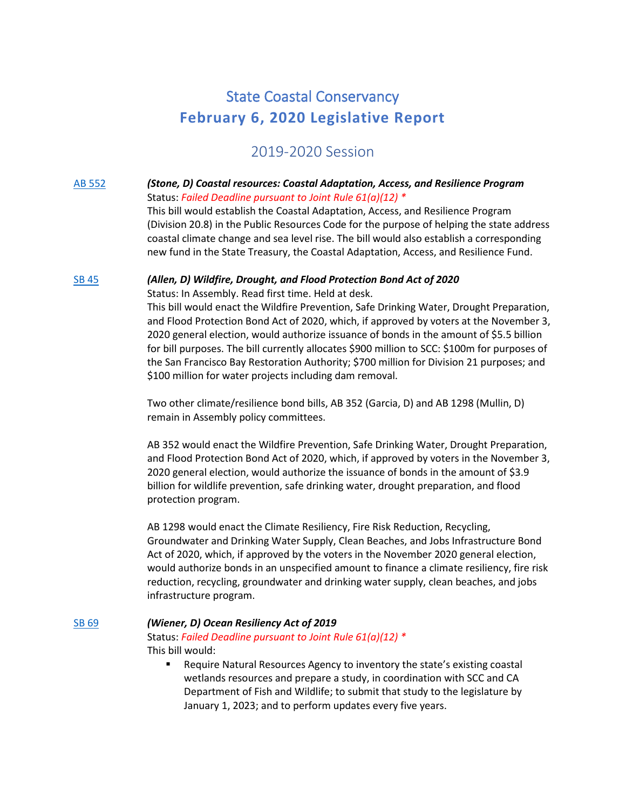# State Coastal Conservancy **February 6, 2020 Legislative Report**

# 2019-2020 Session

# [AB 552](http://leginfo.legislature.ca.gov/faces/billNavClient.xhtml?bill_id=201920200AB552) *(Stone, D) Coastal resources: Coastal Adaptation, Access, and Resilience Program* Status: *Failed Deadline pursuant to Joint Rule 61(a)(12) \**

This bill would establish the Coastal Adaptation, Access, and Resilience Program (Division 20.8) in the Public Resources Code for the purpose of helping the state address coastal climate change and sea level rise. The bill would also establish a corresponding new fund in the State Treasury, the Coastal Adaptation, Access, and Resilience Fund.

#### [SB 45](http://leginfo.legislature.ca.gov/faces/billNavClient.xhtml?bill_id=201920200SB45) *(Allen, D) Wildfire, Drought, and Flood Protection Bond Act of 2020*

Status: In Assembly. Read first time. Held at desk.

This bill would enact the Wildfire Prevention, Safe Drinking Water, Drought Preparation, and Flood Protection Bond Act of 2020, which, if approved by voters at the November 3, 2020 general election, would authorize issuance of bonds in the amount of \$5.5 billion for bill purposes. The bill currently allocates \$900 million to SCC: \$100m for purposes of the San Francisco Bay Restoration Authority; \$700 million for Division 21 purposes; and \$100 million for water projects including dam removal.

Two other climate/resilience bond bills, AB 352 (Garcia, D) and AB 1298 (Mullin, D) remain in Assembly policy committees.

AB 352 would enact the Wildfire Prevention, Safe Drinking Water, Drought Preparation, and Flood Protection Bond Act of 2020, which, if approved by voters in the November 3, 2020 general election, would authorize the issuance of bonds in the amount of \$3.9 billion for wildlife prevention, safe drinking water, drought preparation, and flood protection program.

AB 1298 would enact the Climate Resiliency, Fire Risk Reduction, Recycling, Groundwater and Drinking Water Supply, Clean Beaches, and Jobs Infrastructure Bond Act of 2020, which, if approved by the voters in the November 2020 general election, would authorize bonds in an unspecified amount to finance a climate resiliency, fire risk reduction, recycling, groundwater and drinking water supply, clean beaches, and jobs infrastructure program.

## [SB 69](http://leginfo.legislature.ca.gov/faces/billNavClient.xhtml?bill_id=201920200SB69) *(Wiener, D) Ocean Resiliency Act of 2019*

Status: *Failed Deadline pursuant to Joint Rule 61(a)(12) \** This bill would:

■ Require Natural Resources Agency to inventory the state's existing coastal wetlands resources and prepare a study, in coordination with SCC and CA Department of Fish and Wildlife; to submit that study to the legislature by January 1, 2023; and to perform updates every five years.